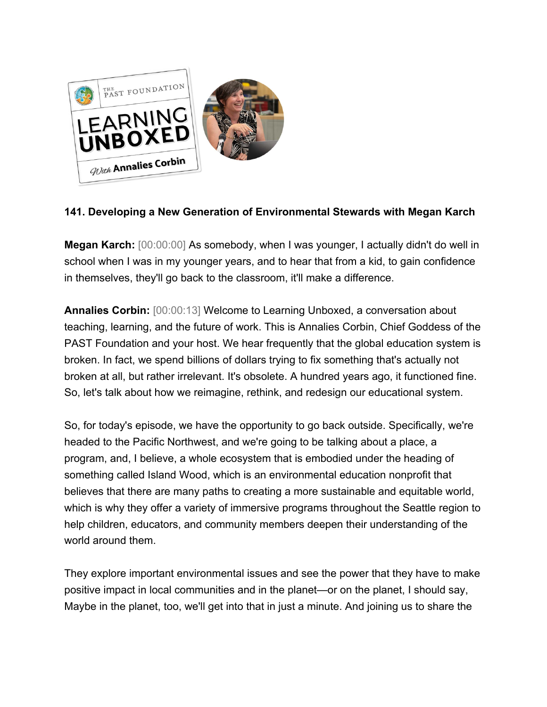

## **141. Developing a New Generation of Environmental Stewards with Megan Karch**

**Megan Karch:** [00:00:00] As somebody, when I was younger, I actually didn't do well in school when I was in my younger years, and to hear that from a kid, to gain confidence in themselves, they'll go back to the classroom, it'll make a difference.

**Annalies Corbin:** [00:00:13] Welcome to Learning Unboxed, a conversation about teaching, learning, and the future of work. This is Annalies Corbin, Chief Goddess of the PAST Foundation and your host. We hear frequently that the global education system is broken. In fact, we spend billions of dollars trying to fix something that's actually not broken at all, but rather irrelevant. It's obsolete. A hundred years ago, it functioned fine. So, let's talk about how we reimagine, rethink, and redesign our educational system.

So, for today's episode, we have the opportunity to go back outside. Specifically, we're headed to the Pacific Northwest, and we're going to be talking about a place, a program, and, I believe, a whole ecosystem that is embodied under the heading of something called Island Wood, which is an environmental education nonprofit that believes that there are many paths to creating a more sustainable and equitable world, which is why they offer a variety of immersive programs throughout the Seattle region to help children, educators, and community members deepen their understanding of the world around them.

They explore important environmental issues and see the power that they have to make positive impact in local communities and in the planet—or on the planet, I should say, Maybe in the planet, too, we'll get into that in just a minute. And joining us to share the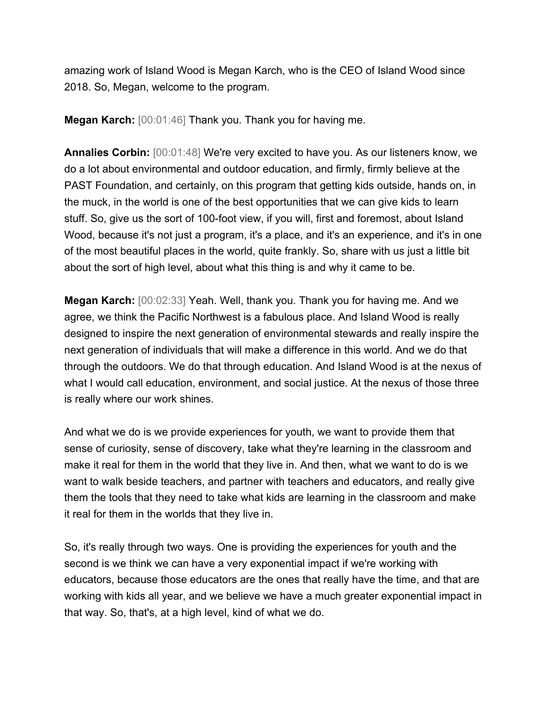amazing work of Island Wood is Megan Karch, who is the CEO of Island Wood since 2018. So, Megan, welcome to the program.

**Megan Karch:** [00:01:46] Thank you. Thank you for having me.

**Annalies Corbin:** [00:01:48] We're very excited to have you. As our listeners know, we do a lot about environmental and outdoor education, and firmly, firmly believe at the PAST Foundation, and certainly, on this program that getting kids outside, hands on, in the muck, in the world is one of the best opportunities that we can give kids to learn stuff. So, give us the sort of 100-foot view, if you will, first and foremost, about Island Wood, because it's not just a program, it's a place, and it's an experience, and it's in one of the most beautiful places in the world, quite frankly. So, share with us just a little bit about the sort of high level, about what this thing is and why it came to be.

**Megan Karch:** [00:02:33] Yeah. Well, thank you. Thank you for having me. And we agree, we think the Pacific Northwest is a fabulous place. And Island Wood is really designed to inspire the next generation of environmental stewards and really inspire the next generation of individuals that will make a difference in this world. And we do that through the outdoors. We do that through education. And Island Wood is at the nexus of what I would call education, environment, and social justice. At the nexus of those three is really where our work shines.

And what we do is we provide experiences for youth, we want to provide them that sense of curiosity, sense of discovery, take what they're learning in the classroom and make it real for them in the world that they live in. And then, what we want to do is we want to walk beside teachers, and partner with teachers and educators, and really give them the tools that they need to take what kids are learning in the classroom and make it real for them in the worlds that they live in.

So, it's really through two ways. One is providing the experiences for youth and the second is we think we can have a very exponential impact if we're working with educators, because those educators are the ones that really have the time, and that are working with kids all year, and we believe we have a much greater exponential impact in that way. So, that's, at a high level, kind of what we do.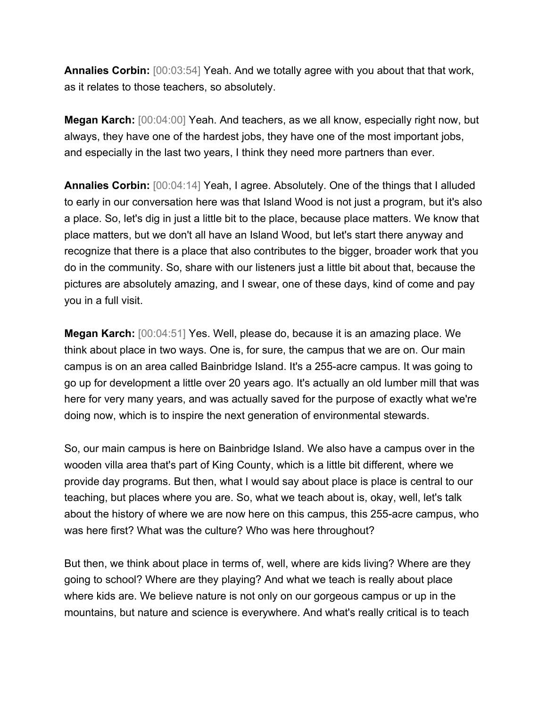**Annalies Corbin:**  $[00:03:54]$  Yeah. And we totally agree with you about that that work, as it relates to those teachers, so absolutely.

**Megan Karch:** [00:04:00] Yeah. And teachers, as we all know, especially right now, but always, they have one of the hardest jobs, they have one of the most important jobs, and especially in the last two years, I think they need more partners than ever.

**Annalies Corbin:** [00:04:14] Yeah, I agree. Absolutely. One of the things that I alluded to early in our conversation here was that Island Wood is not just a program, but it's also a place. So, let's dig in just a little bit to the place, because place matters. We know that place matters, but we don't all have an Island Wood, but let's start there anyway and recognize that there is a place that also contributes to the bigger, broader work that you do in the community. So, share with our listeners just a little bit about that, because the pictures are absolutely amazing, and I swear, one of these days, kind of come and pay you in a full visit.

**Megan Karch:** [00:04:51] Yes. Well, please do, because it is an amazing place. We think about place in two ways. One is, for sure, the campus that we are on. Our main campus is on an area called Bainbridge Island. It's a 255-acre campus. It was going to go up for development a little over 20 years ago. It's actually an old lumber mill that was here for very many years, and was actually saved for the purpose of exactly what we're doing now, which is to inspire the next generation of environmental stewards.

So, our main campus is here on Bainbridge Island. We also have a campus over in the wooden villa area that's part of King County, which is a little bit different, where we provide day programs. But then, what I would say about place is place is central to our teaching, but places where you are. So, what we teach about is, okay, well, let's talk about the history of where we are now here on this campus, this 255-acre campus, who was here first? What was the culture? Who was here throughout?

But then, we think about place in terms of, well, where are kids living? Where are they going to school? Where are they playing? And what we teach is really about place where kids are. We believe nature is not only on our gorgeous campus or up in the mountains, but nature and science is everywhere. And what's really critical is to teach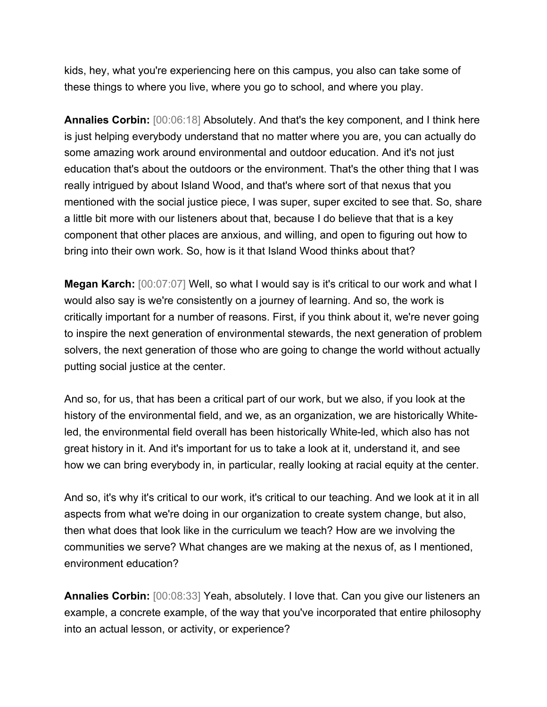kids, hey, what you're experiencing here on this campus, you also can take some of these things to where you live, where you go to school, and where you play.

**Annalies Corbin:** [00:06:18] Absolutely. And that's the key component, and I think here is just helping everybody understand that no matter where you are, you can actually do some amazing work around environmental and outdoor education. And it's not just education that's about the outdoors or the environment. That's the other thing that I was really intrigued by about Island Wood, and that's where sort of that nexus that you mentioned with the social justice piece, I was super, super excited to see that. So, share a little bit more with our listeners about that, because I do believe that that is a key component that other places are anxious, and willing, and open to figuring out how to bring into their own work. So, how is it that Island Wood thinks about that?

**Megan Karch:** [00:07:07] Well, so what I would say is it's critical to our work and what I would also say is we're consistently on a journey of learning. And so, the work is critically important for a number of reasons. First, if you think about it, we're never going to inspire the next generation of environmental stewards, the next generation of problem solvers, the next generation of those who are going to change the world without actually putting social justice at the center.

And so, for us, that has been a critical part of our work, but we also, if you look at the history of the environmental field, and we, as an organization, we are historically Whiteled, the environmental field overall has been historically White-led, which also has not great history in it. And it's important for us to take a look at it, understand it, and see how we can bring everybody in, in particular, really looking at racial equity at the center.

And so, it's why it's critical to our work, it's critical to our teaching. And we look at it in all aspects from what we're doing in our organization to create system change, but also, then what does that look like in the curriculum we teach? How are we involving the communities we serve? What changes are we making at the nexus of, as I mentioned, environment education?

**Annalies Corbin:** [00:08:33] Yeah, absolutely. I love that. Can you give our listeners an example, a concrete example, of the way that you've incorporated that entire philosophy into an actual lesson, or activity, or experience?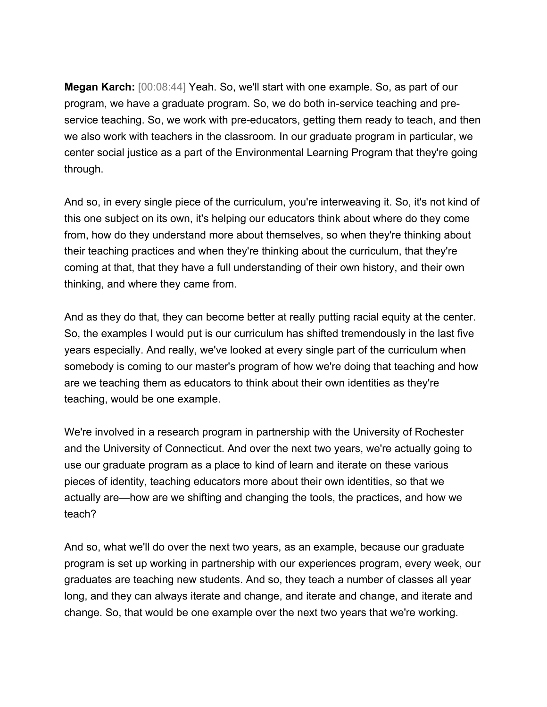**Megan Karch:** [00:08:44] Yeah. So, we'll start with one example. So, as part of our program, we have a graduate program. So, we do both in-service teaching and preservice teaching. So, we work with pre-educators, getting them ready to teach, and then we also work with teachers in the classroom. In our graduate program in particular, we center social justice as a part of the Environmental Learning Program that they're going through.

And so, in every single piece of the curriculum, you're interweaving it. So, it's not kind of this one subject on its own, it's helping our educators think about where do they come from, how do they understand more about themselves, so when they're thinking about their teaching practices and when they're thinking about the curriculum, that they're coming at that, that they have a full understanding of their own history, and their own thinking, and where they came from.

And as they do that, they can become better at really putting racial equity at the center. So, the examples I would put is our curriculum has shifted tremendously in the last five years especially. And really, we've looked at every single part of the curriculum when somebody is coming to our master's program of how we're doing that teaching and how are we teaching them as educators to think about their own identities as they're teaching, would be one example.

We're involved in a research program in partnership with the University of Rochester and the University of Connecticut. And over the next two years, we're actually going to use our graduate program as a place to kind of learn and iterate on these various pieces of identity, teaching educators more about their own identities, so that we actually are—how are we shifting and changing the tools, the practices, and how we teach?

And so, what we'll do over the next two years, as an example, because our graduate program is set up working in partnership with our experiences program, every week, our graduates are teaching new students. And so, they teach a number of classes all year long, and they can always iterate and change, and iterate and change, and iterate and change. So, that would be one example over the next two years that we're working.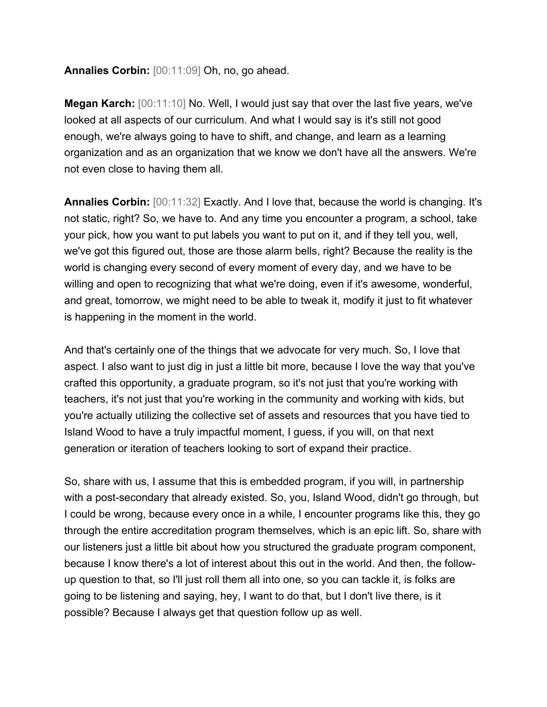**Annalies Corbin:** [00:11:09] Oh, no, go ahead.

**Megan Karch:** [00:11:10] No. Well, I would just say that over the last five years, we've looked at all aspects of our curriculum. And what I would say is it's still not good enough, we're always going to have to shift, and change, and learn as a learning organization and as an organization that we know we don't have all the answers. We're not even close to having them all.

**Annalies Corbin:** [00:11:32] Exactly. And I love that, because the world is changing. It's not static, right? So, we have to. And any time you encounter a program, a school, take your pick, how you want to put labels you want to put on it, and if they tell you, well, we've got this figured out, those are those alarm bells, right? Because the reality is the world is changing every second of every moment of every day, and we have to be willing and open to recognizing that what we're doing, even if it's awesome, wonderful, and great, tomorrow, we might need to be able to tweak it, modify it just to fit whatever is happening in the moment in the world.

And that's certainly one of the things that we advocate for very much. So, I love that aspect. I also want to just dig in just a little bit more, because I love the way that you've crafted this opportunity, a graduate program, so it's not just that you're working with teachers, it's not just that you're working in the community and working with kids, but you're actually utilizing the collective set of assets and resources that you have tied to Island Wood to have a truly impactful moment, I guess, if you will, on that next generation or iteration of teachers looking to sort of expand their practice.

So, share with us, I assume that this is embedded program, if you will, in partnership with a post-secondary that already existed. So, you, Island Wood, didn't go through, but I could be wrong, because every once in a while, I encounter programs like this, they go through the entire accreditation program themselves, which is an epic lift. So, share with our listeners just a little bit about how you structured the graduate program component, because I know there's a lot of interest about this out in the world. And then, the followup question to that, so I'll just roll them all into one, so you can tackle it, is folks are going to be listening and saying, hey, I want to do that, but I don't live there, is it possible? Because I always get that question follow up as well.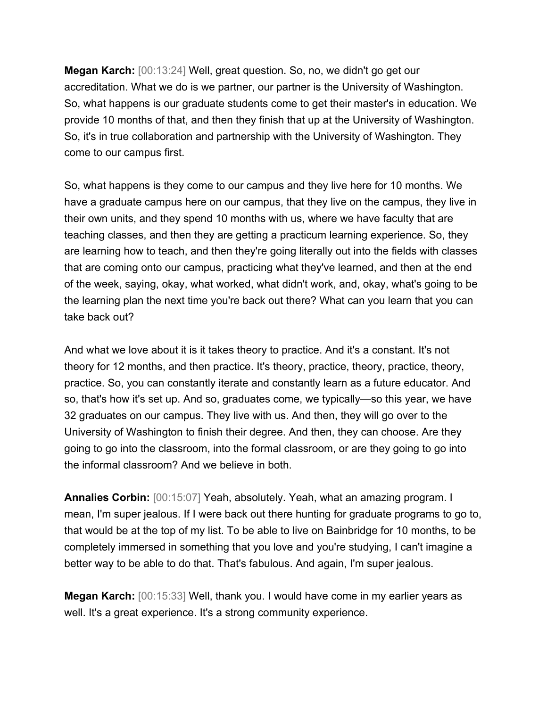**Megan Karch:** [00:13:24] Well, great question. So, no, we didn't go get our accreditation. What we do is we partner, our partner is the University of Washington. So, what happens is our graduate students come to get their master's in education. We provide 10 months of that, and then they finish that up at the University of Washington. So, it's in true collaboration and partnership with the University of Washington. They come to our campus first.

So, what happens is they come to our campus and they live here for 10 months. We have a graduate campus here on our campus, that they live on the campus, they live in their own units, and they spend 10 months with us, where we have faculty that are teaching classes, and then they are getting a practicum learning experience. So, they are learning how to teach, and then they're going literally out into the fields with classes that are coming onto our campus, practicing what they've learned, and then at the end of the week, saying, okay, what worked, what didn't work, and, okay, what's going to be the learning plan the next time you're back out there? What can you learn that you can take back out?

And what we love about it is it takes theory to practice. And it's a constant. It's not theory for 12 months, and then practice. It's theory, practice, theory, practice, theory, practice. So, you can constantly iterate and constantly learn as a future educator. And so, that's how it's set up. And so, graduates come, we typically—so this year, we have 32 graduates on our campus. They live with us. And then, they will go over to the University of Washington to finish their degree. And then, they can choose. Are they going to go into the classroom, into the formal classroom, or are they going to go into the informal classroom? And we believe in both.

**Annalies Corbin:** [00:15:07] Yeah, absolutely. Yeah, what an amazing program. I mean, I'm super jealous. If I were back out there hunting for graduate programs to go to, that would be at the top of my list. To be able to live on Bainbridge for 10 months, to be completely immersed in something that you love and you're studying, I can't imagine a better way to be able to do that. That's fabulous. And again, I'm super jealous.

**Megan Karch:** [00:15:33] Well, thank you. I would have come in my earlier years as well. It's a great experience. It's a strong community experience.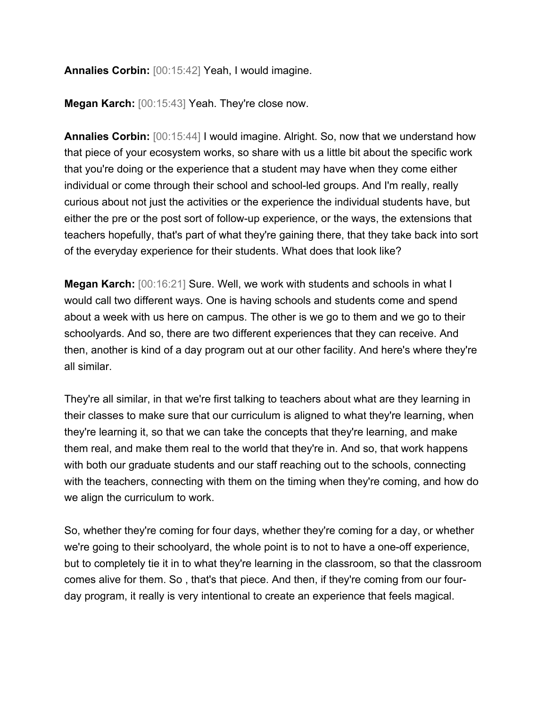**Annalies Corbin:** [00:15:42] Yeah, I would imagine.

**Megan Karch:** [00:15:43] Yeah. They're close now.

**Annalies Corbin:** [00:15:44] I would imagine. Alright. So, now that we understand how that piece of your ecosystem works, so share with us a little bit about the specific work that you're doing or the experience that a student may have when they come either individual or come through their school and school-led groups. And I'm really, really curious about not just the activities or the experience the individual students have, but either the pre or the post sort of follow-up experience, or the ways, the extensions that teachers hopefully, that's part of what they're gaining there, that they take back into sort of the everyday experience for their students. What does that look like?

**Megan Karch:** [00:16:21] Sure. Well, we work with students and schools in what I would call two different ways. One is having schools and students come and spend about a week with us here on campus. The other is we go to them and we go to their schoolyards. And so, there are two different experiences that they can receive. And then, another is kind of a day program out at our other facility. And here's where they're all similar.

They're all similar, in that we're first talking to teachers about what are they learning in their classes to make sure that our curriculum is aligned to what they're learning, when they're learning it, so that we can take the concepts that they're learning, and make them real, and make them real to the world that they're in. And so, that work happens with both our graduate students and our staff reaching out to the schools, connecting with the teachers, connecting with them on the timing when they're coming, and how do we align the curriculum to work.

So, whether they're coming for four days, whether they're coming for a day, or whether we're going to their schoolyard, the whole point is to not to have a one-off experience, but to completely tie it in to what they're learning in the classroom, so that the classroom comes alive for them. So , that's that piece. And then, if they're coming from our fourday program, it really is very intentional to create an experience that feels magical.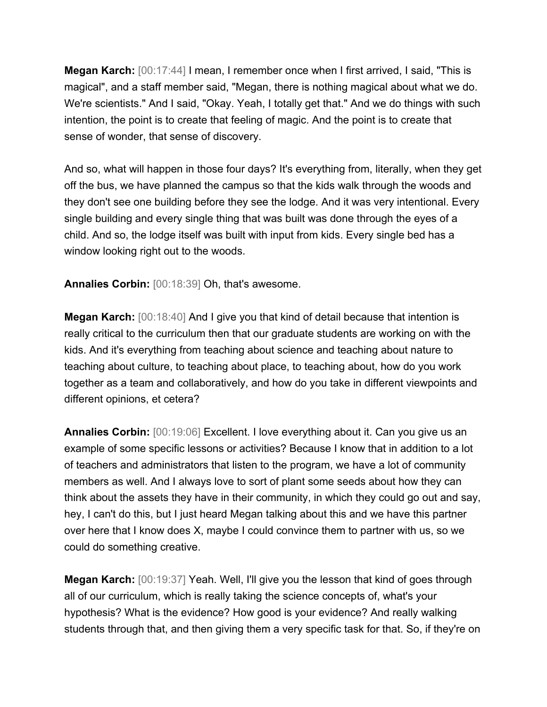**Megan Karch:** [00:17:44] I mean, I remember once when I first arrived, I said, "This is magical", and a staff member said, "Megan, there is nothing magical about what we do. We're scientists." And I said, "Okay. Yeah, I totally get that." And we do things with such intention, the point is to create that feeling of magic. And the point is to create that sense of wonder, that sense of discovery.

And so, what will happen in those four days? It's everything from, literally, when they get off the bus, we have planned the campus so that the kids walk through the woods and they don't see one building before they see the lodge. And it was very intentional. Every single building and every single thing that was built was done through the eyes of a child. And so, the lodge itself was built with input from kids. Every single bed has a window looking right out to the woods.

**Annalies Corbin:** [00:18:39] Oh, that's awesome.

**Megan Karch:** [00:18:40] And I give you that kind of detail because that intention is really critical to the curriculum then that our graduate students are working on with the kids. And it's everything from teaching about science and teaching about nature to teaching about culture, to teaching about place, to teaching about, how do you work together as a team and collaboratively, and how do you take in different viewpoints and different opinions, et cetera?

**Annalies Corbin:** [00:19:06] Excellent. I love everything about it. Can you give us an example of some specific lessons or activities? Because I know that in addition to a lot of teachers and administrators that listen to the program, we have a lot of community members as well. And I always love to sort of plant some seeds about how they can think about the assets they have in their community, in which they could go out and say, hey, I can't do this, but I just heard Megan talking about this and we have this partner over here that I know does X, maybe I could convince them to partner with us, so we could do something creative.

**Megan Karch:** [00:19:37] Yeah. Well, I'll give you the lesson that kind of goes through all of our curriculum, which is really taking the science concepts of, what's your hypothesis? What is the evidence? How good is your evidence? And really walking students through that, and then giving them a very specific task for that. So, if they're on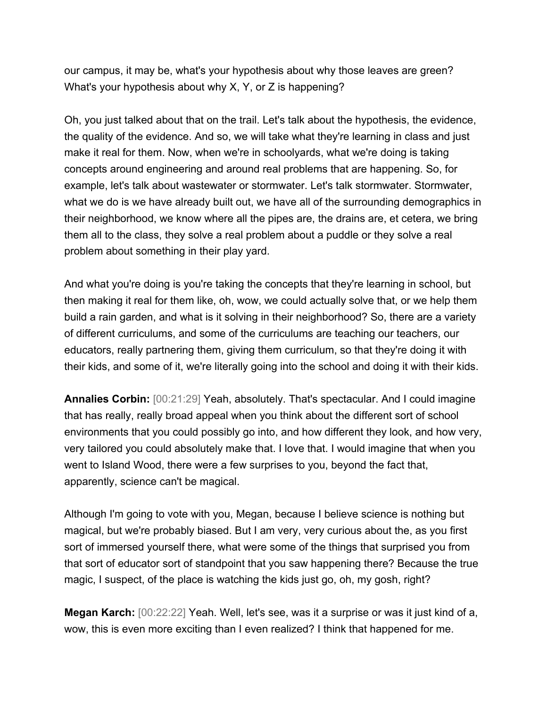our campus, it may be, what's your hypothesis about why those leaves are green? What's your hypothesis about why X, Y, or Z is happening?

Oh, you just talked about that on the trail. Let's talk about the hypothesis, the evidence, the quality of the evidence. And so, we will take what they're learning in class and just make it real for them. Now, when we're in schoolyards, what we're doing is taking concepts around engineering and around real problems that are happening. So, for example, let's talk about wastewater or stormwater. Let's talk stormwater. Stormwater, what we do is we have already built out, we have all of the surrounding demographics in their neighborhood, we know where all the pipes are, the drains are, et cetera, we bring them all to the class, they solve a real problem about a puddle or they solve a real problem about something in their play yard.

And what you're doing is you're taking the concepts that they're learning in school, but then making it real for them like, oh, wow, we could actually solve that, or we help them build a rain garden, and what is it solving in their neighborhood? So, there are a variety of different curriculums, and some of the curriculums are teaching our teachers, our educators, really partnering them, giving them curriculum, so that they're doing it with their kids, and some of it, we're literally going into the school and doing it with their kids.

**Annalies Corbin:** [00:21:29] Yeah, absolutely. That's spectacular. And I could imagine that has really, really broad appeal when you think about the different sort of school environments that you could possibly go into, and how different they look, and how very, very tailored you could absolutely make that. I love that. I would imagine that when you went to Island Wood, there were a few surprises to you, beyond the fact that, apparently, science can't be magical.

Although I'm going to vote with you, Megan, because I believe science is nothing but magical, but we're probably biased. But I am very, very curious about the, as you first sort of immersed yourself there, what were some of the things that surprised you from that sort of educator sort of standpoint that you saw happening there? Because the true magic, I suspect, of the place is watching the kids just go, oh, my gosh, right?

**Megan Karch:** [00:22:22] Yeah. Well, let's see, was it a surprise or was it just kind of a, wow, this is even more exciting than I even realized? I think that happened for me.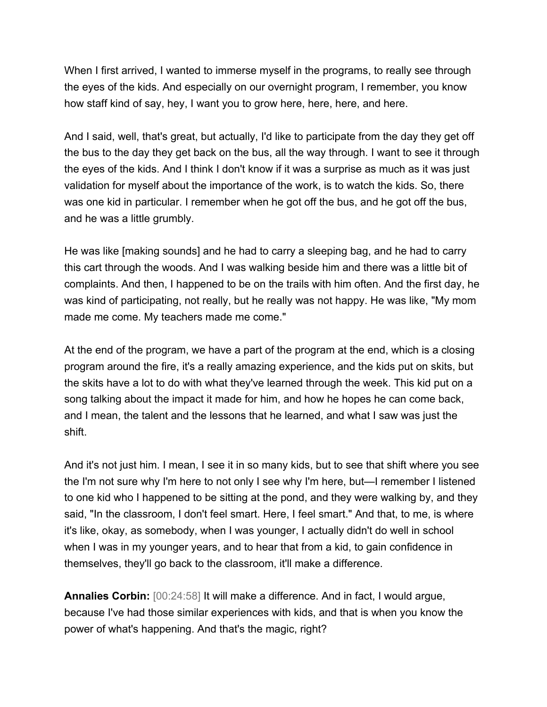When I first arrived, I wanted to immerse myself in the programs, to really see through the eyes of the kids. And especially on our overnight program, I remember, you know how staff kind of say, hey, I want you to grow here, here, here, and here.

And I said, well, that's great, but actually, I'd like to participate from the day they get off the bus to the day they get back on the bus, all the way through. I want to see it through the eyes of the kids. And I think I don't know if it was a surprise as much as it was just validation for myself about the importance of the work, is to watch the kids. So, there was one kid in particular. I remember when he got off the bus, and he got off the bus, and he was a little grumbly.

He was like [making sounds] and he had to carry a sleeping bag, and he had to carry this cart through the woods. And I was walking beside him and there was a little bit of complaints. And then, I happened to be on the trails with him often. And the first day, he was kind of participating, not really, but he really was not happy. He was like, "My mom made me come. My teachers made me come."

At the end of the program, we have a part of the program at the end, which is a closing program around the fire, it's a really amazing experience, and the kids put on skits, but the skits have a lot to do with what they've learned through the week. This kid put on a song talking about the impact it made for him, and how he hopes he can come back, and I mean, the talent and the lessons that he learned, and what I saw was just the shift.

And it's not just him. I mean, I see it in so many kids, but to see that shift where you see the I'm not sure why I'm here to not only I see why I'm here, but—I remember I listened to one kid who I happened to be sitting at the pond, and they were walking by, and they said, "In the classroom, I don't feel smart. Here, I feel smart." And that, to me, is where it's like, okay, as somebody, when I was younger, I actually didn't do well in school when I was in my younger years, and to hear that from a kid, to gain confidence in themselves, they'll go back to the classroom, it'll make a difference.

**Annalies Corbin:** [00:24:58] It will make a difference. And in fact, I would argue, because I've had those similar experiences with kids, and that is when you know the power of what's happening. And that's the magic, right?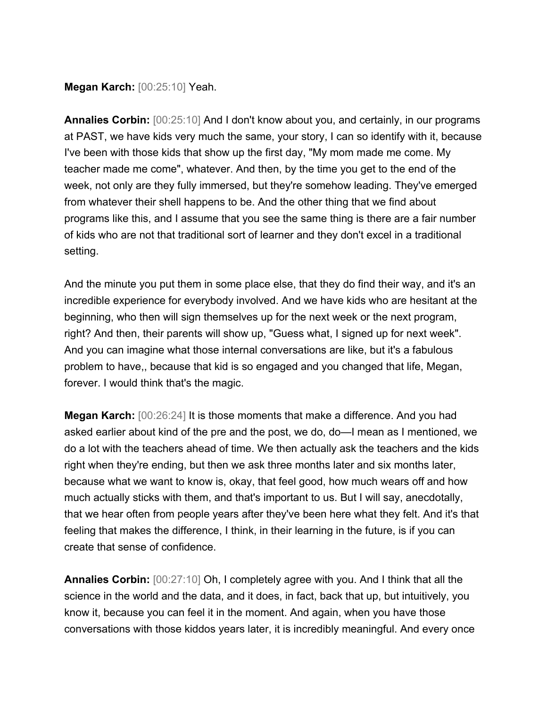**Megan Karch:** [00:25:10] Yeah.

**Annalies Corbin:** [00:25:10] And I don't know about you, and certainly, in our programs at PAST, we have kids very much the same, your story, I can so identify with it, because I've been with those kids that show up the first day, "My mom made me come. My teacher made me come", whatever. And then, by the time you get to the end of the week, not only are they fully immersed, but they're somehow leading. They've emerged from whatever their shell happens to be. And the other thing that we find about programs like this, and I assume that you see the same thing is there are a fair number of kids who are not that traditional sort of learner and they don't excel in a traditional setting.

And the minute you put them in some place else, that they do find their way, and it's an incredible experience for everybody involved. And we have kids who are hesitant at the beginning, who then will sign themselves up for the next week or the next program, right? And then, their parents will show up, "Guess what, I signed up for next week". And you can imagine what those internal conversations are like, but it's a fabulous problem to have,, because that kid is so engaged and you changed that life, Megan, forever. I would think that's the magic.

**Megan Karch:** [00:26:24] It is those moments that make a difference. And you had asked earlier about kind of the pre and the post, we do, do—I mean as I mentioned, we do a lot with the teachers ahead of time. We then actually ask the teachers and the kids right when they're ending, but then we ask three months later and six months later, because what we want to know is, okay, that feel good, how much wears off and how much actually sticks with them, and that's important to us. But I will say, anecdotally, that we hear often from people years after they've been here what they felt. And it's that feeling that makes the difference, I think, in their learning in the future, is if you can create that sense of confidence.

**Annalies Corbin:** [00:27:10] Oh, I completely agree with you. And I think that all the science in the world and the data, and it does, in fact, back that up, but intuitively, you know it, because you can feel it in the moment. And again, when you have those conversations with those kiddos years later, it is incredibly meaningful. And every once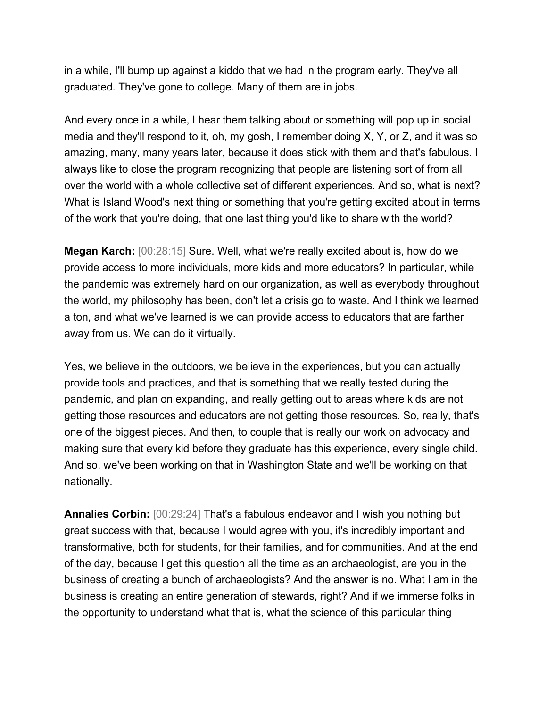in a while, I'll bump up against a kiddo that we had in the program early. They've all graduated. They've gone to college. Many of them are in jobs.

And every once in a while, I hear them talking about or something will pop up in social media and they'll respond to it, oh, my gosh, I remember doing X, Y, or Z, and it was so amazing, many, many years later, because it does stick with them and that's fabulous. I always like to close the program recognizing that people are listening sort of from all over the world with a whole collective set of different experiences. And so, what is next? What is Island Wood's next thing or something that you're getting excited about in terms of the work that you're doing, that one last thing you'd like to share with the world?

**Megan Karch:** [00:28:15] Sure. Well, what we're really excited about is, how do we provide access to more individuals, more kids and more educators? In particular, while the pandemic was extremely hard on our organization, as well as everybody throughout the world, my philosophy has been, don't let a crisis go to waste. And I think we learned a ton, and what we've learned is we can provide access to educators that are farther away from us. We can do it virtually.

Yes, we believe in the outdoors, we believe in the experiences, but you can actually provide tools and practices, and that is something that we really tested during the pandemic, and plan on expanding, and really getting out to areas where kids are not getting those resources and educators are not getting those resources. So, really, that's one of the biggest pieces. And then, to couple that is really our work on advocacy and making sure that every kid before they graduate has this experience, every single child. And so, we've been working on that in Washington State and we'll be working on that nationally.

**Annalies Corbin:** [00:29:24] That's a fabulous endeavor and I wish you nothing but great success with that, because I would agree with you, it's incredibly important and transformative, both for students, for their families, and for communities. And at the end of the day, because I get this question all the time as an archaeologist, are you in the business of creating a bunch of archaeologists? And the answer is no. What I am in the business is creating an entire generation of stewards, right? And if we immerse folks in the opportunity to understand what that is, what the science of this particular thing